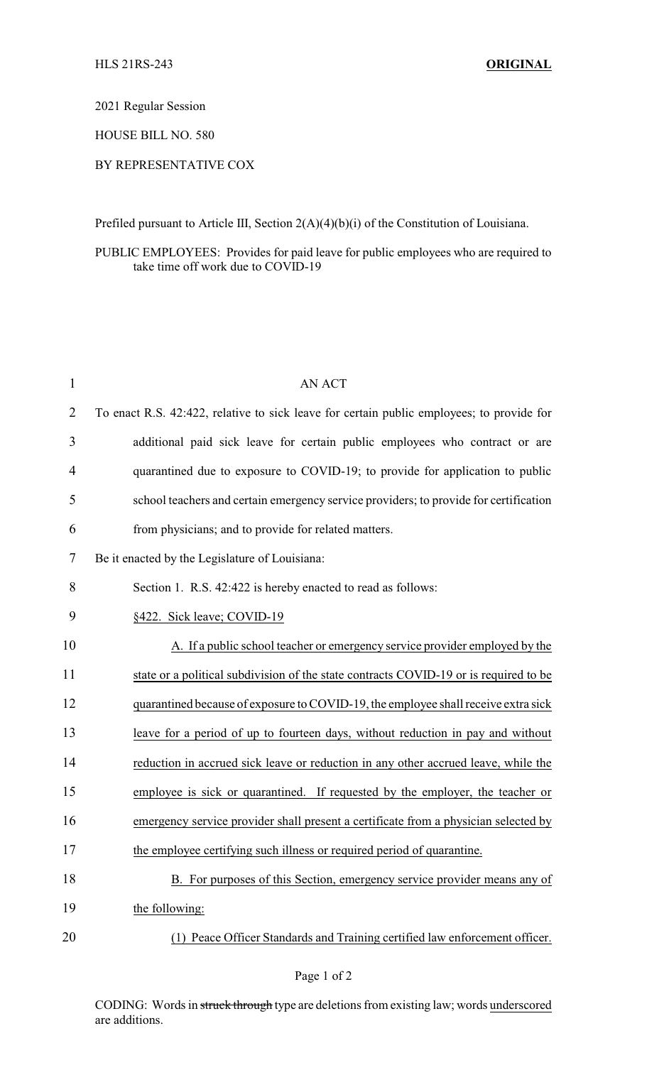2021 Regular Session

HOUSE BILL NO. 580

## BY REPRESENTATIVE COX

Prefiled pursuant to Article III, Section 2(A)(4)(b)(i) of the Constitution of Louisiana.

## PUBLIC EMPLOYEES: Provides for paid leave for public employees who are required to take time off work due to COVID-19

| $\mathbf{1}$ | <b>AN ACT</b>                                                                             |
|--------------|-------------------------------------------------------------------------------------------|
| 2            | To enact R.S. 42:422, relative to sick leave for certain public employees; to provide for |
| 3            | additional paid sick leave for certain public employees who contract or are               |
| 4            | quarantined due to exposure to COVID-19; to provide for application to public             |
| 5            | school teachers and certain emergency service providers; to provide for certification     |
| 6            | from physicians; and to provide for related matters.                                      |
| 7            | Be it enacted by the Legislature of Louisiana:                                            |
| 8            | Section 1. R.S. 42:422 is hereby enacted to read as follows:                              |
| 9            | §422. Sick leave; COVID-19                                                                |
| 10           | A. If a public school teacher or emergency service provider employed by the               |
| 11           | state or a political subdivision of the state contracts COVID-19 or is required to be     |
| 12           | quarantined because of exposure to COVID-19, the employee shall receive extra sick        |
| 13           | leave for a period of up to fourteen days, without reduction in pay and without           |
| 14           | reduction in accrued sick leave or reduction in any other accrued leave, while the        |
| 15           | employee is sick or quarantined. If requested by the employer, the teacher or             |
| 16           | emergency service provider shall present a certificate from a physician selected by       |
| 17           | the employee certifying such illness or required period of quarantine.                    |
| 18           | B. For purposes of this Section, emergency service provider means any of                  |
| 19           | the following:                                                                            |
| 20           | (1) Peace Officer Standards and Training certified law enforcement officer.               |

CODING: Words in struck through type are deletions from existing law; words underscored are additions.